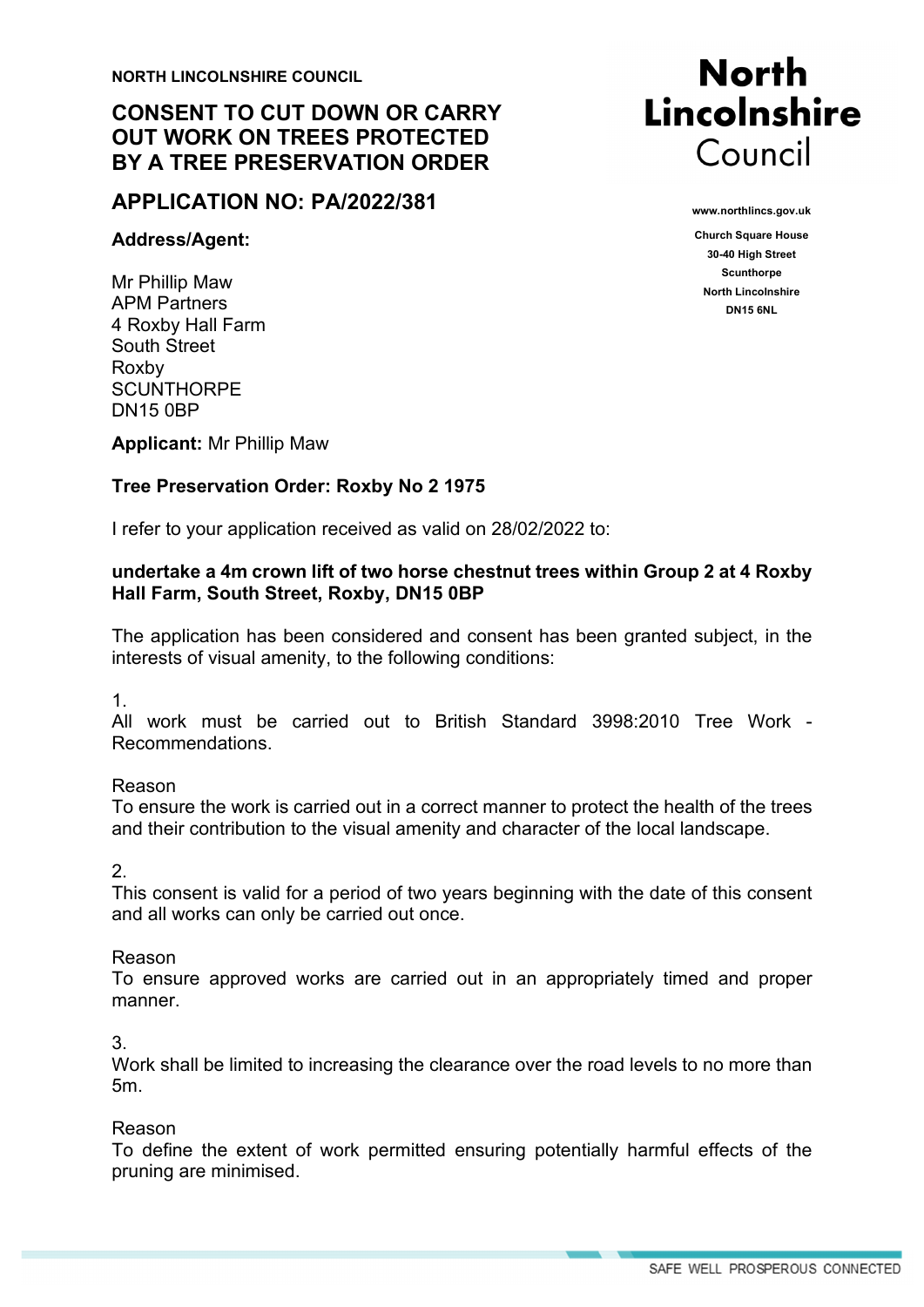**NORTH LINCOLNSHIRE COUNCIL**

# **CONSENT TO CUT DOWN OR CARRY OUT WORK ON TREES PROTECTED BY A TREE PRESERVATION ORDER**

## **APPLICATION NO: PA/2022/381**

#### **Address/Agent:**

Mr Phillip Maw APM Partners 4 Roxby Hall Farm South Street Roxby **SCUNTHORPE** DN15 0BP

**Applicant:** Mr Phillip Maw

### **Tree Preservation Order: Roxby No 2 1975**

I refer to your application received as valid on 28/02/2022 to:

#### **undertake a 4m crown lift of two horse chestnut trees within Group 2 at 4 Roxby Hall Farm, South Street, Roxby, DN15 0BP**

The application has been considered and consent has been granted subject, in the interests of visual amenity, to the following conditions:

1.

All work must be carried out to British Standard 3998:2010 Tree Work - Recommendations.

#### Reason

To ensure the work is carried out in a correct manner to protect the health of the trees and their contribution to the visual amenity and character of the local landscape.

 $\mathcal{P}$ 

This consent is valid for a period of two years beginning with the date of this consent and all works can only be carried out once.

#### Reason

To ensure approved works are carried out in an appropriately timed and proper manner.

3.

Work shall be limited to increasing the clearance over the road levels to no more than 5m.

#### Reason

To define the extent of work permitted ensuring potentially harmful effects of the pruning are minimised.



**www.northlincs.gov.uk** 

**Church Square House 30-40 High Street Scunthorpe North Lincolnshire DN15 6NL**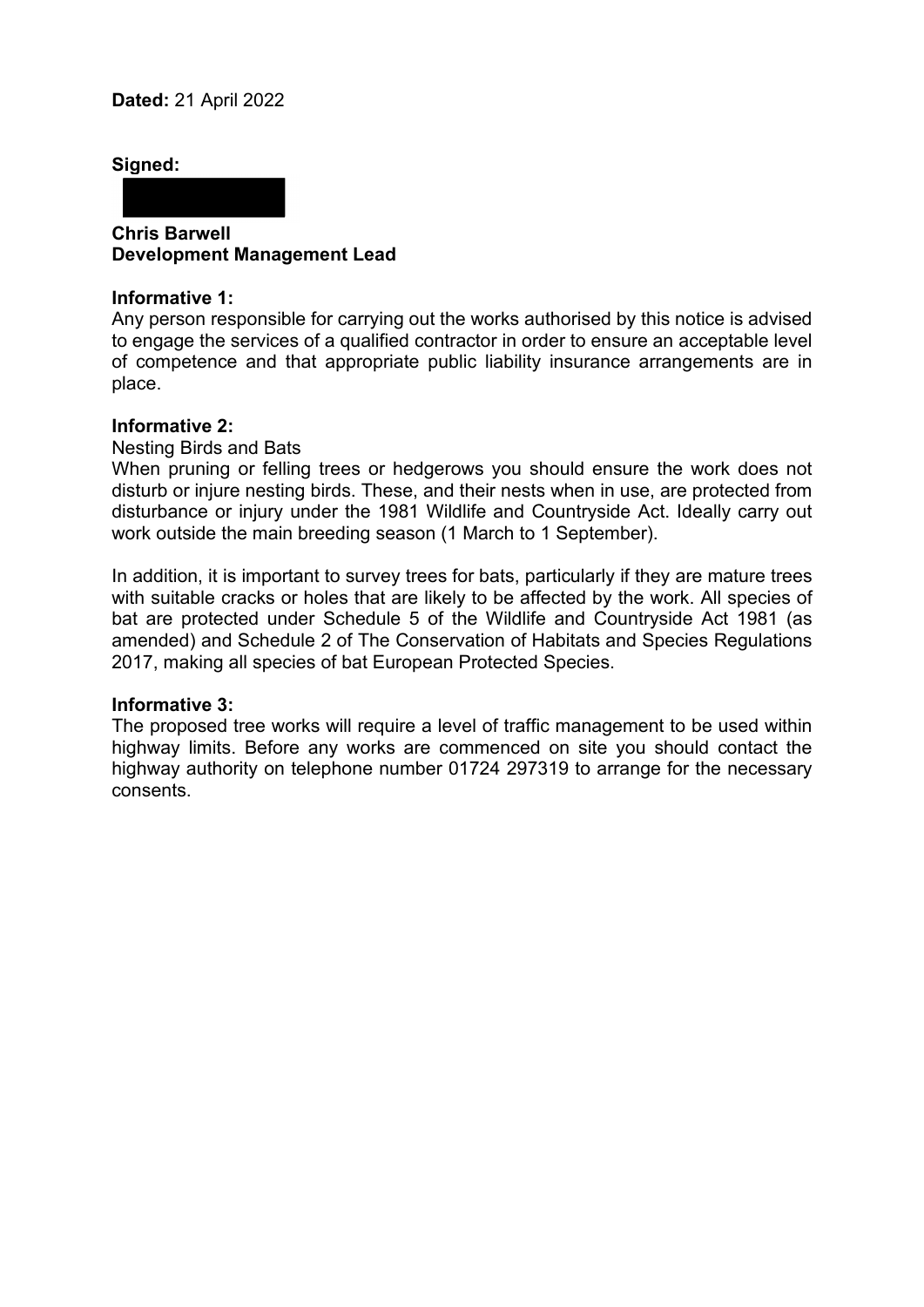**Signed:** 

**Chris Barwell Development Management Lead**

#### **Informative 1:**

Any person responsible for carrying out the works authorised by this notice is advised to engage the services of a qualified contractor in order to ensure an acceptable level of competence and that appropriate public liability insurance arrangements are in place.

#### **Informative 2:**

Nesting Birds and Bats

When pruning or felling trees or hedgerows you should ensure the work does not disturb or injure nesting birds. These, and their nests when in use, are protected from disturbance or injury under the 1981 Wildlife and Countryside Act. Ideally carry out work outside the main breeding season (1 March to 1 September).

In addition, it is important to survey trees for bats, particularly if they are mature trees with suitable cracks or holes that are likely to be affected by the work. All species of bat are protected under Schedule 5 of the Wildlife and Countryside Act 1981 (as amended) and Schedule 2 of The Conservation of Habitats and Species Regulations 2017, making all species of bat European Protected Species.

#### **Informative 3:**

The proposed tree works will require a level of traffic management to be used within highway limits. Before any works are commenced on site you should contact the highway authority on telephone number 01724 297319 to arrange for the necessary consents.